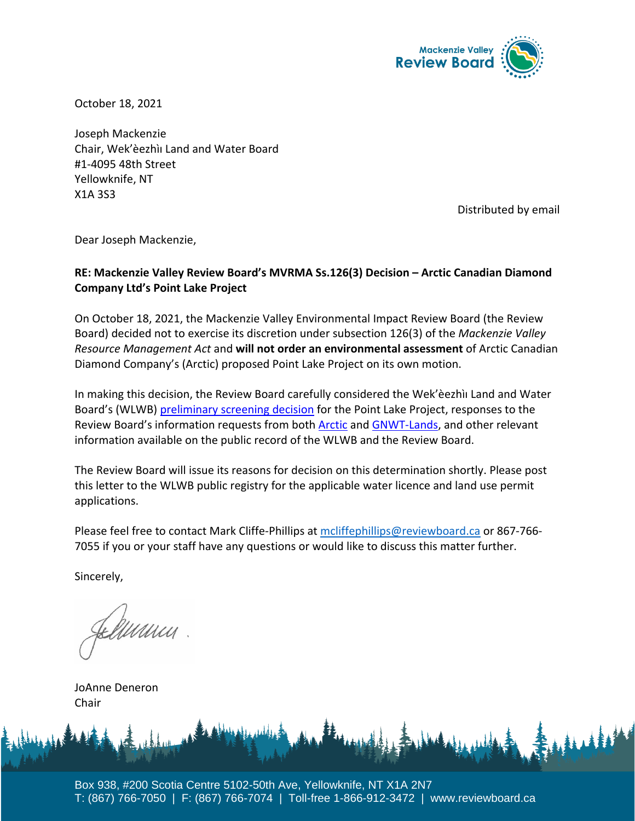

October 18, 2021

Joseph Mackenzie Chair, Wek'èezhìı Land and Water Board #1-4095 48th Street Yellowknife, NT X1A 3S3

Distributed by email

Dear Joseph Mackenzie,

## **RE: Mackenzie Valley Review Board's MVRMA Ss.126(3) Decision – Arctic Canadian Diamond Company Ltd's Point Lake Project**

On October 18, 2021, the Mackenzie Valley Environmental Impact Review Board (the Review Board) decided not to exercise its discretion under subsection 126(3) of the *Mackenzie Valley Resource Management Act* and **will not order an environmental assessment** of Arctic Canadian Diamond Company's (Arctic) proposed Point Lake Project on its own motion.

In making this decision, the Review Board carefully considered the Wek'èezhìı Land and Water Board's (WLWB) [preliminary screening decision](http://registry.mvlwb.ca/Documents/W2020L2-0004/Ekati%20-%20Point%20Lake%20Project%20-%20Preliminary%20Screening%20Determination%20and%20Reasons%20for%20Decision%20-%20Aug%2024_21.pdf) for the Point Lake Project, responses to the Review Board's information requests from both [Arctic](https://reviewboard.ca/sites/default/files/ps/point_lake_project_-_arctic_response_to_information_request.pdf) and [GNWT-Lands,](https://reviewboard.ca/sites/default/files/ps/gnwt_response_to_mveirb_ir_re._point_lake_jay_measures.pdf) and other relevant information available on the public record of the WLWB and the Review Board.

The Review Board will issue its reasons for decision on this determination shortly. Please post this letter to the WLWB public registry for the applicable water licence and land use permit applications.

Please feel free to contact Mark Cliffe-Phillips at [mcliffephillips@reviewboard.ca](mailto:mcliffephillips@reviewboard.ca) or 867-766- 7055 if you or your staff have any questions or would like to discuss this matter further.

Sincerely,

ruunn

JoAnne Deneron Chair

Box 938, #200 Scotia Centre 5102-50th Ave, Yellowknife, NT X1A 2N7 T: (867) 766-7050 | F: (867) 766-7074 | Toll-free 1-866-912-3472 | www.reviewboard.ca